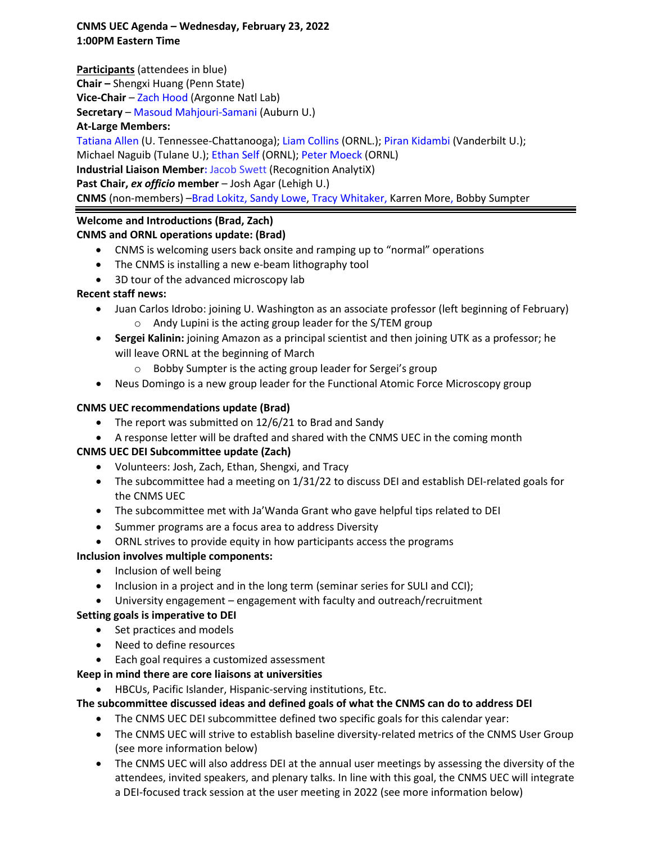## **CNMS UEC Agenda – Wednesday, February 23, 2022 1:00PM Eastern Time**

**Participants** (attendees in blue)

**Chair –** Shengxi Huang (Penn State)

**Vice-Chair** – Zach Hood (Argonne Natl Lab)

**Secretary** – Masoud Mahjouri-Samani (Auburn U.)

### **At-Large Members:**

Tatiana Allen (U. Tennessee-Chattanooga); Liam Collins (ORNL.); Piran Kidambi (Vanderbilt U.);

Michael Naguib (Tulane U.); Ethan Self (ORNL); Peter Moeck (ORNL)

**Industrial Liaison Member:** Jacob Swett (Recognition AnalytiX)

**Past Chair,** *ex officio* **member** – Josh Agar (Lehigh U.)

**CNMS** (non-members) –Brad Lokitz, Sandy Lowe, Tracy Whitaker, Karren More, Bobby Sumpter

# **Welcome and Introductions (Brad, Zach)**

# **CNMS and ORNL operations update: (Brad)**

- CNMS is welcoming users back onsite and ramping up to "normal" operations
- The CNMS is installing a new e-beam lithography tool
- 3D tour of the advanced microscopy lab

# **Recent staff news:**

- Juan Carlos Idrobo: joining U. Washington as an associate professor (left beginning of February) o Andy Lupini is the acting group leader for the S/TEM group
- **Sergei Kalinin:** joining Amazon as a principal scientist and then joining UTK as a professor; he will leave ORNL at the beginning of March
	- o Bobby Sumpter is the acting group leader for Sergei's group
- Neus Domingo is a new group leader for the Functional Atomic Force Microscopy group

# **CNMS UEC recommendations update (Brad)**

- The report was submitted on 12/6/21 to Brad and Sandy
- A response letter will be drafted and shared with the CNMS UEC in the coming month

# **CNMS UEC DEI Subcommittee update (Zach)**

- Volunteers: Josh, Zach, Ethan, Shengxi, and Tracy
- The subcommittee had a meeting on 1/31/22 to discuss DEI and establish DEI-related goals for the CNMS UEC
- The subcommittee met with Ja'Wanda Grant who gave helpful tips related to DEI
- Summer programs are a focus area to address Diversity
- ORNL strives to provide equity in how participants access the programs

### **Inclusion involves multiple components:**

- Inclusion of well being
- Inclusion in a project and in the long term (seminar series for SULI and CCI);
- University engagement engagement with faculty and outreach/recruitment

### **Setting goals is imperative to DEI**

- Set practices and models
- Need to define resources
- Each goal requires a customized assessment

# **Keep in mind there are core liaisons at universities**

• HBCUs, Pacific Islander, Hispanic-serving institutions, Etc.

# **The subcommittee discussed ideas and defined goals of what the CNMS can do to address DEI**

- The CNMS UEC DEI subcommittee defined two specific goals for this calendar year:
- The CNMS UEC will strive to establish baseline diversity-related metrics of the CNMS User Group (see more information below)
- The CNMS UEC will also address DEI at the annual user meetings by assessing the diversity of the attendees, invited speakers, and plenary talks. In line with this goal, the CNMS UEC will integrate a DEI-focused track session at the user meeting in 2022 (see more information below)